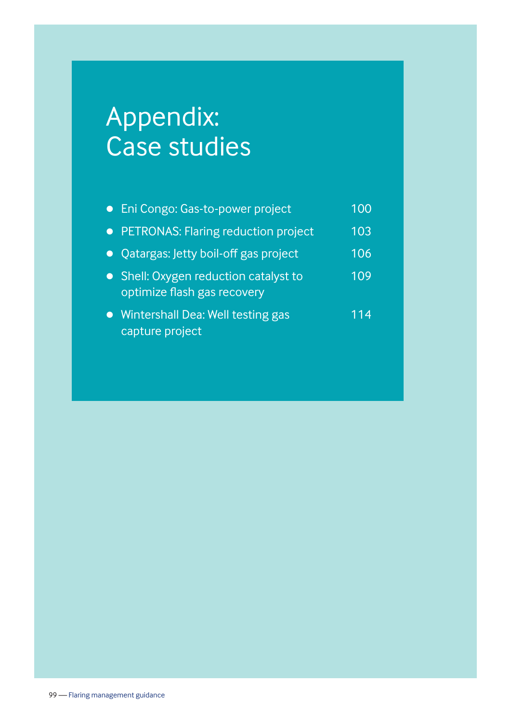# Appendix: Case studies

| • Eni Congo: Gas-to-power project                                    | 100 |
|----------------------------------------------------------------------|-----|
| • PETRONAS: Flaring reduction project                                | 103 |
| • Qatargas: Jetty boil-off gas project                               | 106 |
| • Shell: Oxygen reduction catalyst to<br>optimize flash gas recovery | 109 |
| Wintershall Dea: Well testing gas<br>capture project                 | 114 |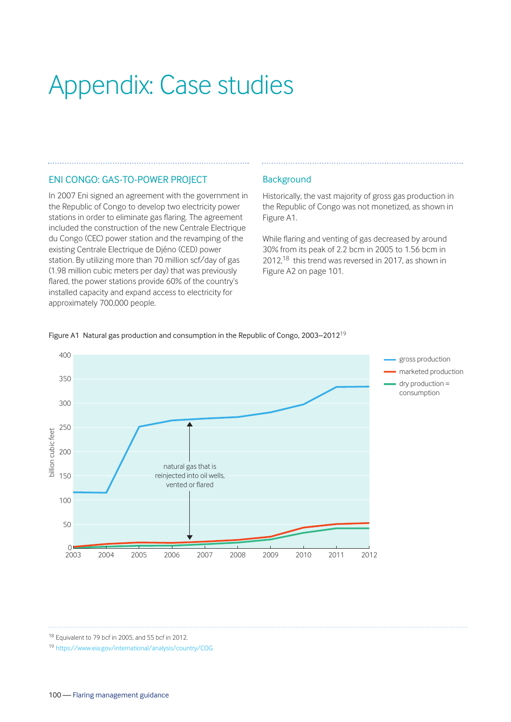# Appendix: Case studies

## ENI CONGO: GAS-TO-POWER PROJECT

In 2007 Eni signed an agreement with the government in the Republic of Congo to develop two electricity power stations in order to eliminate gas flaring. The agreement included the construction of the new Centrale Electrique du Congo (CEC) power station and the revamping of the existing Centrale Electrique de Djéno (CED) power station. By utilizing more than 70 million scf/day of gas (1.98 million cubic meters per day) that was previously flared, the power stations provide 60% of the country's installed capacity and expand access to electricity for approximately 700,000 people.

#### **Background**

Historically, the vast majority of gross gas production in the Republic of Congo was not monetized, as shown in Figure A1.

While flaring and venting of gas decreased by around 30% from its peak of 2.2 bcm in 2005 to 1.56 bcm in 2012,18 this trend was reversed in 2017, as shown in Figure A2 on page 101.



Figure A1 Natural gas production and consumption in the Republic of Congo, 2003-2012<sup>19</sup>

<sup>18</sup> Equivalent to 79 bcf in 2005, and 55 bcf in 2012.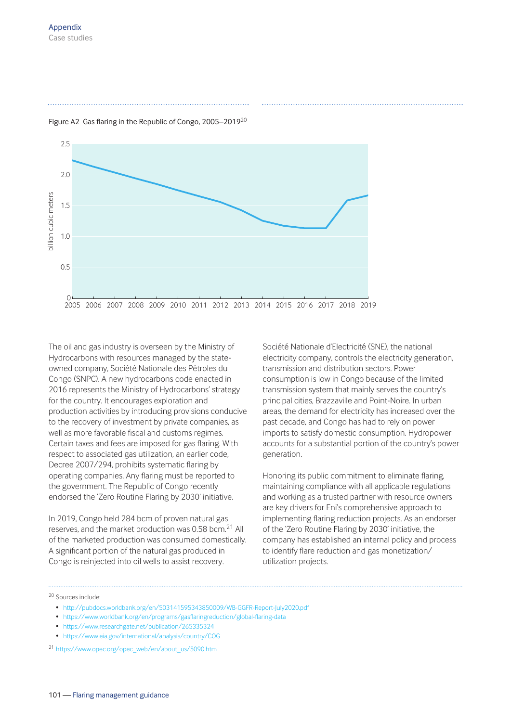

Figure A2 Gas flaring in the Republic of Congo, 2005–2019<sup>20</sup>

The oil and gas industry is overseen by the Ministry of Hydrocarbons with resources managed by the stateowned company, Société Nationale des Pétroles du Congo (SNPC). A new hydrocarbons code enacted in 2016 represents the Ministry of Hydrocarbons' strategy for the country. It encourages exploration and production activities by introducing provisions conducive to the recovery of investment by private companies, as well as more favorable fiscal and customs regimes. Certain taxes and fees are imposed for gas flaring. With respect to associated gas utilization, an earlier code, Decree 2007/294, prohibits systematic flaring by operating companies. Any flaring must be reported to the government. The Republic of Congo recently endorsed the 'Zero Routine Flaring by 2030' initiative.

In 2019, Congo held 284 bcm of proven natural gas reserves, and the market production was 0.58 bcm.<sup>21</sup> All of the marketed production was consumed domestically. A significant portion of the natural gas produced in Congo is reinjected into oil wells to assist recovery.

Société Nationale d'Electricité (SNE), the national electricity company, controls the electricity generation, transmission and distribution sectors. Power consumption is low in Congo because of the limited transmission system that mainly serves the country's principal cities, Brazzaville and Point-Noire. In urban areas, the demand for electricity has increased over the past decade, and Congo has had to rely on power imports to satisfy domestic consumption. Hydropower accounts for a substantial portion of the country's power generation.

Honoring its public commitment to eliminate flaring, maintaining compliance with all applicable regulations and working as a trusted partner with resource owners are key drivers for Eni's comprehensive approach to implementing flaring reduction projects. As an endorser of the 'Zero Routine Flaring by 2030' initiative, the company has established an internal policy and process to identify flare reduction and gas monetization/ utilization projects.

<sup>20</sup> Sources include:

- http://pubdocs.worldbank.org/en/503141595343850009/WB-GGFR-Report-July2020.pdf
- https://www.worldbank.org/en/programs/gasflaringreduction/global-flaring-data
- https://www.researchgate.net/publication/265335324
- https://www.eia.gov/international/analysis/country/COG

<sup>21</sup> https://www.opec.org/opec\_web/en/about\_us/5090.htm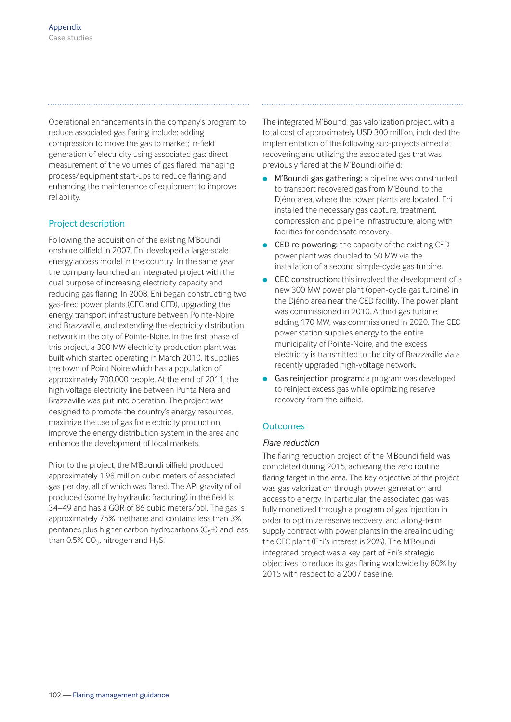Operational enhancements in the company's program to reduce associated gas flaring include: adding compression to move the gas to market; in-field generation of electricity using associated gas; direct measurement of the volumes of gas flared; managing process/equipment start-ups to reduce flaring; and enhancing the maintenance of equipment to improve reliability.

# Project description

Following the acquisition of the existing M'Boundi onshore oilfield in 2007, Eni developed a large-scale energy access model in the country. In the same year the company launched an integrated project with the dual purpose of increasing electricity capacity and reducing gas flaring. In 2008, Eni began constructing two gas-fired power plants (CEC and CED), upgrading the energy transport infrastructure between Pointe-Noire and Brazzaville, and extending the electricity distribution network in the city of Pointe-Noire. In the first phase of this project, a 300 MW electricity production plant was built which started operating in March 2010. It supplies the town of Point Noire which has a population of approximately 700,000 people. At the end of 2011, the high voltage electricity line between Punta Nera and Brazzaville was put into operation. The project was designed to promote the country's energy resources, maximize the use of gas for electricity production, improve the energy distribution system in the area and enhance the development of local markets.

Prior to the project, the M'Boundi oilfield produced approximately 1.98 million cubic meters of associated gas per day, all of which was flared. The API gravity of oil produced (some by hydraulic fracturing) in the field is 34–49 and has a GOR of 86 cubic meters/bbl. The gas is approximately 75% methane and contains less than 3% pentanes plus higher carbon hydrocarbons  $(C_5+)$  and less than 0.5% CO<sub>2</sub>, nitrogen and H<sub>2</sub>S.

The integrated M'Boundi gas valorization project, with a total cost of approximately USD 300 million, included the implementation of the following sub-projects aimed at recovering and utilizing the associated gas that was previously flared at the M'Boundi oilfield:

- M'Boundi gas gathering: a pipeline was constructed to transport recovered gas from M'Boundi to the Djéno area, where the power plants are located. Eni installed the necessary gas capture, treatment, compression and pipeline infrastructure, along with facilities for condensate recovery.
- $\bullet$  CED re-powering: the capacity of the existing CED power plant was doubled to 50 MW via the installation of a second simple-cycle gas turbine.
- **CEC construction:** this involved the development of a new 300 MW power plant (open-cycle gas turbine) in the Djéno area near the CED facility. The power plant was commissioned in 2010. A third gas turbine, adding 170 MW, was commissioned in 2020. The CEC power station supplies energy to the entire municipality of Pointe-Noire, and the excess electricity is transmitted to the city of Brazzaville via a recently upgraded high-voltage network.
- **Gas reinjection program:** a program was developed to reinject excess gas while optimizing reserve recovery from the oilfield.

## **Outcomes**

#### *Flare reduction*

The flaring reduction project of the M'Boundi field was completed during 2015, achieving the zero routine flaring target in the area. The key objective of the project was gas valorization through power generation and access to energy. In particular, the associated gas was fully monetized through a program of gas injection in order to optimize reserve recovery, and a long-term supply contract with power plants in the area including the CEC plant (Eni's interest is 20%). The M'Boundi integrated project was a key part of Eni's strategic objectives to reduce its gas flaring worldwide by 80% by 2015 with respect to a 2007 baseline.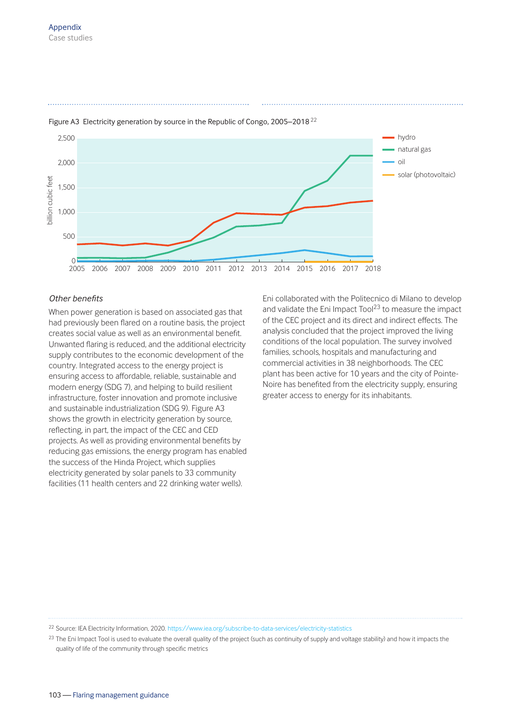

#### Figure A3 Electricity generation by source in the Republic of Congo, 2005-2018<sup>22</sup>

#### *Other benefits*

When power generation is based on associated gas that had previously been flared on a routine basis, the project creates social value as well as an environmental benefit. Unwanted flaring is reduced, and the additional electricity supply contributes to the economic development of the country. Integrated access to the energy project is ensuring access to affordable, reliable, sustainable and modern energy (SDG 7), and helping to build resilient infrastructure, foster innovation and promote inclusive and sustainable industrialization (SDG 9). Figure A3 shows the growth in electricity generation by source, reflecting, in part, the impact of the CEC and CED projects. As well as providing environmental benefits by reducing gas emissions, the energy program has enabled the success of the Hinda Project, which supplies electricity generated by solar panels to 33 community facilities (11 health centers and 22 drinking water wells).

Eni collaborated with the Politecnico di Milano to develop and validate the Eni Impact Tool $^{23}$  to measure the impact of the CEC project and its direct and indirect effects. The analysis concluded that the project improved the living conditions of the local population. The survey involved families, schools, hospitals and manufacturing and commercial activities in 38 neighborhoods. The CEC plant has been active for 10 years and the city of Pointe-Noire has benefited from the electricity supply, ensuring greater access to energy for its inhabitants.

<sup>22</sup> Source: IEA Electricity Information, 2020. https://www.iea.org/subscribe-to-data-services/electricity-statistics

<sup>23</sup> The Eni Impact Tool is used to evaluate the overall quality of the project (such as continuity of supply and voltage stability) and how it impacts the quality of life of the community through specific metrics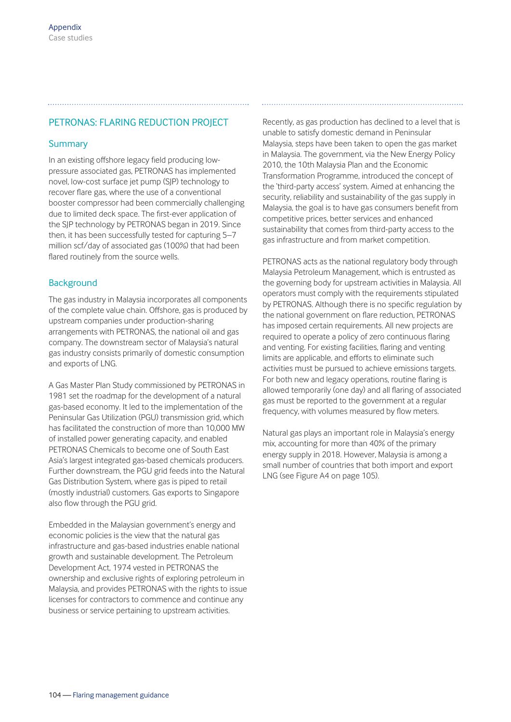# PETRONAS: FLARING REDUCTION PROJECT

#### **Summary**

In an existing offshore legacy field producing lowpressure associated gas, PETRONAS has implemented novel, low-cost surface jet pump (SJP) technology to recover flare gas, where the use of a conventional booster compressor had been commercially challenging due to limited deck space. The first-ever application of the SJP technology by PETRONAS began in 2019. Since then, it has been successfully tested for capturing 5–7 million scf/day of associated gas (100%) that had been flared routinely from the source wells.

#### **Background**

The gas industry in Malaysia incorporates all components of the complete value chain. Offshore, gas is produced by upstream companies under production-sharing arrangements with PETRONAS, the national oil and gas company. The downstream sector of Malaysia's natural gas industry consists primarily of domestic consumption and exports of LNG.

A Gas Master Plan Study commissioned by PETRONAS in 1981 set the roadmap for the development of a natural gas-based economy. It led to the implementation of the Peninsular Gas Utilization (PGU) transmission grid, which has facilitated the construction of more than 10,000 MW of installed power generating capacity, and enabled PETRONAS Chemicals to become one of South East Asia's largest integrated gas-based chemicals producers. Further downstream, the PGU grid feeds into the Natural Gas Distribution System, where gas is piped to retail (mostly industrial) customers. Gas exports to Singapore also flow through the PGU grid.

Embedded in the Malaysian government's energy and economic policies is the view that the natural gas infrastructure and gas-based industries enable national growth and sustainable development. The Petroleum Development Act, 1974 vested in PETRONAS the ownership and exclusive rights of exploring petroleum in Malaysia, and provides PETRONAS with the rights to issue licenses for contractors to commence and continue any business or service pertaining to upstream activities.

Recently, as gas production has declined to a level that is unable to satisfy domestic demand in Peninsular Malaysia, steps have been taken to open the gas market in Malaysia. The government, via the New Energy Policy 2010, the 10th Malaysia Plan and the Economic Transformation Programme, introduced the concept of the 'third-party access' system. Aimed at enhancing the security, reliability and sustainability of the gas supply in Malaysia, the goal is to have gas consumers benefit from competitive prices, better services and enhanced sustainability that comes from third-party access to the gas infrastructure and from market competition.

PETRONAS acts as the national regulatory body through Malaysia Petroleum Management, which is entrusted as the governing body for upstream activities in Malaysia. All operators must comply with the requirements stipulated by PETRONAS. Although there is no specific regulation by the national government on flare reduction, PETRONAS has imposed certain requirements. All new projects are required to operate a policy of zero continuous flaring and venting. For existing facilities, flaring and venting limits are applicable, and efforts to eliminate such activities must be pursued to achieve emissions targets. For both new and legacy operations, routine flaring is allowed temporarily (one day) and all flaring of associated gas must be reported to the government at a regular frequency, with volumes measured by flow meters.

Natural gas plays an important role in Malaysia's energy mix, accounting for more than 40% of the primary energy supply in 2018. However, Malaysia is among a small number of countries that both import and export LNG (see Figure A4 on page 105).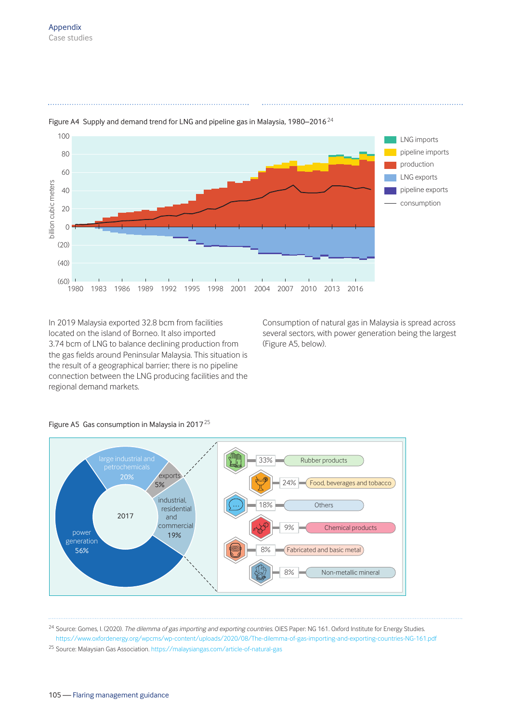

Figure A4 Supply and demand trend for LNG and pipeline gas in Malaysia, 1980–2016<sup>24</sup>

In 2019 Malaysia exported 32.8 bcm from facilities located on the island of Borneo. It also imported 3.74 bcm of LNG to balance declining production from the gas fields around Peninsular Malaysia. This situation is the result of a geographical barrier; there is no pipeline connection between the LNG producing facilities and the regional demand markets.

Consumption of natural gas in Malaysia is spread across several sectors, with power generation being the largest (Figure A5, below).



#### Figure A5 Gas consumption in Malaysia in 2017<sup>25</sup>

<sup>24</sup> Source: Gomes, I. (2020). *The dilemma of gas importing and exporting countries*. OIES Paper: NG 161. Oxford Institute for Energy Studies. https://www.oxfordenergy.org/wpcms/wp-content/uploads/2020/08/The-dilemma-of-gas-importing-and-exporting-countries-NG-161.pdf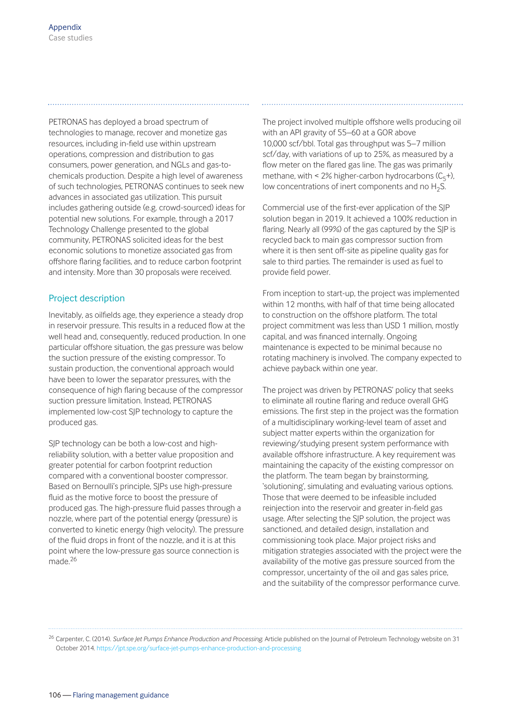PETRONAS has deployed a broad spectrum of technologies to manage, recover and monetize gas resources, including in-field use within upstream operations, compression and distribution to gas consumers, power generation, and NGLs and gas-tochemicals production. Despite a high level of awareness of such technologies, PETRONAS continues to seek new advances in associated gas utilization. This pursuit includes gathering outside (e.g. crowd-sourced) ideas for potential new solutions. For example, through a 2017 Technology Challenge presented to the global community, PETRONAS solicited ideas for the best economic solutions to monetize associated gas from offshore flaring facilities, and to reduce carbon footprint and intensity. More than 30 proposals were received.

#### Project description

Inevitably, as oilfields age, they experience a steady drop in reservoir pressure. This results in a reduced flow at the well head and, consequently, reduced production. In one particular offshore situation, the gas pressure was below the suction pressure of the existing compressor. To sustain production, the conventional approach would have been to lower the separator pressures, with the consequence of high flaring because of the compressor suction pressure limitation. Instead, PETRONAS implemented low-cost SJP technology to capture the produced gas.

SJP technology can be both a low-cost and highreliability solution, with a better value proposition and greater potential for carbon footprint reduction compared with a conventional booster compressor. Based on Bernoulli's principle, SJPs use high-pressure fluid as the motive force to boost the pressure of produced gas. The high-pressure fluid passes through a nozzle, where part of the potential energy (pressure) is converted to kinetic energy (high velocity). The pressure of the fluid drops in front of the nozzle, and it is at this point where the low-pressure gas source connection is made<sup>26</sup>

The project involved multiple offshore wells producing oil with an API gravity of 55–60 at a GOR above 10,000 scf/bbl. Total gas throughput was 5–7 million scf/day, with variations of up to 25%, as measured by a flow meter on the flared gas line. The gas was primarily methane, with  $\leq 2\%$  higher-carbon hydrocarbons  $(C<sub>r</sub>+),$ low concentrations of inert components and no  $H_2S$ .

Commercial use of the first-ever application of the SJP solution began in 2019. It achieved a 100% reduction in flaring. Nearly all (99%) of the gas captured by the SJP is recycled back to main gas compressor suction from where it is then sent off-site as pipeline quality gas for sale to third parties. The remainder is used as fuel to provide field power.

From inception to start-up, the project was implemented within 12 months, with half of that time being allocated to construction on the offshore platform. The total project commitment was less than USD 1 million, mostly capital, and was financed internally. Ongoing maintenance is expected to be minimal because no rotating machinery is involved. The company expected to achieve payback within one year.

The project was driven by PETRONAS' policy that seeks to eliminate all routine flaring and reduce overall GHG emissions. The first step in the project was the formation of a multidisciplinary working-level team of asset and subject matter experts within the organization for reviewing/studying present system performance with available offshore infrastructure. A key requirement was maintaining the capacity of the existing compressor on the platform. The team began by brainstorming, 'solutioning', simulating and evaluating various options. Those that were deemed to be infeasible included reinjection into the reservoir and greater in-field gas usage. After selecting the SJP solution, the project was sanctioned, and detailed design, installation and commissioning took place. Major project risks and mitigation strategies associated with the project were the availability of the motive gas pressure sourced from the compressor, uncertainty of the oil and gas sales price, and the suitability of the compressor performance curve.

<sup>26</sup> Carpenter, C. (2014). *Surface Jet Pumps Enhance Production and Processing*. Article published on the Journal of Petroleum Technology website on 31 October 2014. https://jpt.spe.org/surface-jet-pumps-enhance-production-and-processing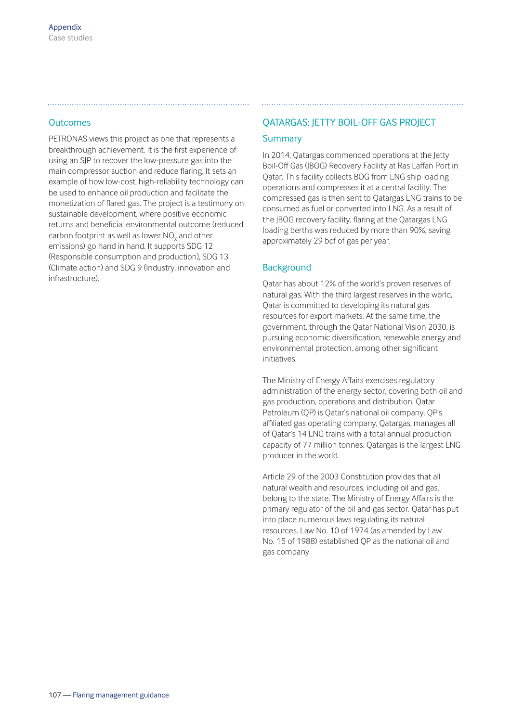# **Outcomes**

PETRONAS views this project as one that represents a breakthrough achievement. It is the first experience of using an SJP to recover the low-pressure gas into the main compressor suction and reduce flaring. It sets an example of how low-cost, high-reliability technology can be used to enhance oil production and facilitate the monetization of flared gas. The project is a testimony on sustainable development, where positive economic returns and beneficial environmental outcome (reduced carbon footprint as well as lower  $\mathsf{NO}_{\mathsf{x}}$  and other emissions) go hand in hand. It supports SDG 12 (Responsible consumption and production), SDG 13 (Climate action) and SDG 9 (Industry, innovation and infrastructure).

# QATARGAS: JETTY BOIL-OFF GAS PROJECT **Summary**

In 2014, Qatargas commenced operations at the Jetty Boil-Off Gas (JBOG) Recovery Facility at Ras Laffan Port in Qatar. This facility collects BOG from LNG ship loading operations and compresses it at a central facility. The compressed gas is then sent to Qatargas LNG trains to be consumed as fuel or converted into LNG. As a result of the JBOG recovery facility, flaring at the Qatargas LNG loading berths was reduced by more than 90%, saving approximately 29 bcf of gas per year.

# **Background**

Qatar has about 12% of the world's proven reserves of natural gas. With the third largest reserves in the world, Qatar is committed to developing its natural gas resources for export markets. At the same time, the government, through the Qatar National Vision 2030, is pursuing economic diversification, renewable energy and environmental protection, among other significant initiatives.

The Ministry of Energy Affairs exercises regulatory administration of the energy sector, covering both oil and gas production, operations and distribution. Qatar Petroleum (QP) is Qatar's national oil company. QP's affiliated gas operating company, Qatargas, manages all of Qatar's 14 LNG trains with a total annual production capacity of 77 million tonnes. Qatargas is the largest LNG producer in the world.

Article 29 of the 2003 Constitution provides that all natural wealth and resources, including oil and gas, belong to the state. The Ministry of Energy Affairs is the primary regulator of the oil and gas sector. Qatar has put into place numerous laws regulating its natural resources. Law No. 10 of 1974 (as amended by Law No. 15 of 1988) established QP as the national oil and gas company.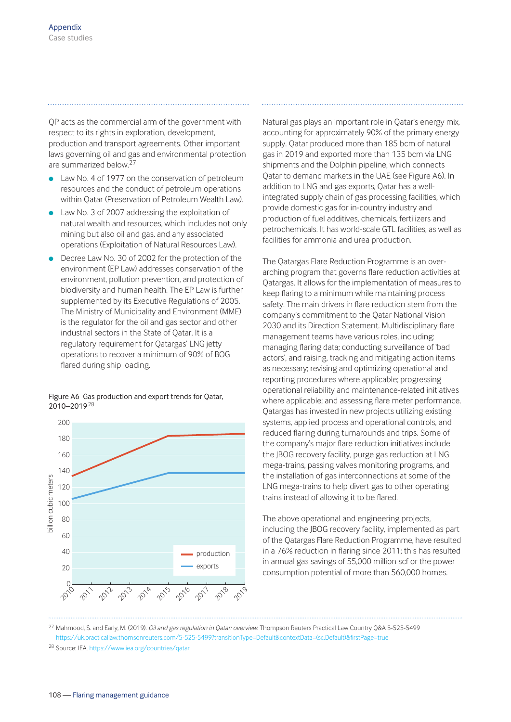QP acts as the commercial arm of the government with respect to its rights in exploration, development, production and transport agreements. Other important laws governing oil and gas and environmental protection are summarized below.<sup>27</sup>

- Law No. 4 of 1977 on the conservation of petroleum resources and the conduct of petroleum operations within Qatar (Preservation of Petroleum Wealth Law).
- Law No. 3 of 2007 addressing the exploitation of natural wealth and resources, which includes not only mining but also oil and gas, and any associated operations (Exploitation of Natural Resources Law).
- Decree Law No. 30 of 2002 for the protection of the environment (EP Law) addresses conservation of the environment, pollution prevention, and protection of biodiversity and human health. The EP Law is further supplemented by its Executive Regulations of 2005. The Ministry of Municipality and Environment (MME) is the regulator for the oil and gas sector and other industrial sectors in the State of Qatar. It is a regulatory requirement for Qatargas' LNG jetty operations to recover a minimum of 90% of BOG flared during ship loading.

Figure A6 Gas production and export trends for Qatar, 2010–2019<sup>28</sup>



Natural gas plays an important role in Qatar's energy mix, accounting for approximately 90% of the primary energy supply. Qatar produced more than 185 bcm of natural gas in 2019 and exported more than 135 bcm via LNG shipments and the Dolphin pipeline, which connects Qatar to demand markets in the UAE (see Figure A6). In addition to LNG and gas exports, Qatar has a wellintegrated supply chain of gas processing facilities, which provide domestic gas for in-country industry and production of fuel additives, chemicals, fertilizers and petrochemicals. It has world-scale GTL facilities, as well as facilities for ammonia and urea production.

The Qatargas Flare Reduction Programme is an overarching program that governs flare reduction activities at Qatargas. It allows for the implementation of measures to keep flaring to a minimum while maintaining process safety. The main drivers in flare reduction stem from the company's commitment to the Qatar National Vision 2030 and its Direction Statement. Multidisciplinary flare management teams have various roles, including: managing flaring data; conducting surveillance of 'bad actors', and raising, tracking and mitigating action items as necessary; revising and optimizing operational and reporting procedures where applicable; progressing operational reliability and maintenance-related initiatives where applicable; and assessing flare meter performance. Qatargas has invested in new projects utilizing existing systems, applied process and operational controls, and reduced flaring during turnarounds and trips. Some of the company's major flare reduction initiatives include the JBOG recovery facility, purge gas reduction at LNG mega-trains, passing valves monitoring programs, and the installation of gas interconnections at some of the LNG mega-trains to help divert gas to other operating trains instead of allowing it to be flared.

The above operational and engineering projects, including the JBOG recovery facility, implemented as part of the Qatargas Flare Reduction Programme, have resulted in a 76% reduction in flaring since 2011; this has resulted in annual gas savings of 55,000 million scf or the power consumption potential of more than 560,000 homes.

<sup>27</sup> Mahmood, S. and Early, M. (2019). *Oil and gas regulation in Qatar: overview*. Thompson Reuters Practical Law Country Q&A 5-525-5499 https://uk.practicallaw.thomsonreuters.com/5-525-5499?transitionType=Default&contextData=(sc.Default)&firstPage=true

<sup>28</sup> Source: IEA. https://www.iea.org/countries/qatar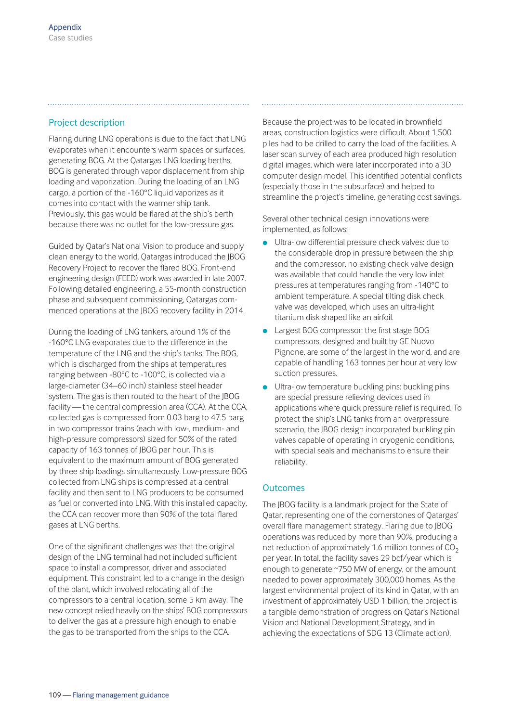# Project description

Flaring during LNG operations is due to the fact that LNG evaporates when it encounters warm spaces or surfaces, generating BOG. At the Qatargas LNG loading berths, BOG is generated through vapor displacement from ship loading and vaporization. During the loading of an LNG cargo, a portion of the -160°C liquid vaporizes as it comes into contact with the warmer ship tank. Previously, this gas would be flared at the ship's berth because there was no outlet for the low-pressure gas.

Guided by Qatar's National Vision to produce and supply clean energy to the world, Qatargas introduced the JBOG Recovery Project to recover the flared BOG. Front-end engineering design (FEED) work was awarded in late 2007. Following detailed engineering, a 55-month construction phase and subsequent commissioning, Qatargas com menced operations at the JBOG recovery facility in 2014.

During the loading of LNG tankers, around 1% of the -160°C LNG evaporates due to the difference in the temperature of the LNG and the ship's tanks. The BOG, which is discharged from the ships at temperatures ranging between -80°C to -100°C, is collected via a large-diameter (34–60 inch) stainless steel header system. The gas is then routed to the heart of the JBOG facility — the central compression area (CCA). At the CCA, collected gas is compressed from 0.03 barg to 47.5 barg in two compressor trains (each with low-, medium- and high-pressure compressors) sized for 50% of the rated capacity of 163 tonnes of JBOG per hour. This is equivalent to the maximum amount of BOG generated by three ship loadings simultaneously. Low-pressure BOG collected from LNG ships is compressed at a central facility and then sent to LNG producers to be consumed as fuel or converted into LNG. With this installed capacity, the CCA can recover more than 90% of the total flared gases at LNG berths.

One of the significant challenges was that the original design of the LNG terminal had not included sufficient space to install a compressor, driver and associated equipment. This constraint led to a change in the design of the plant, which involved relocating all of the compressors to a central location, some 5 km away. The new concept relied heavily on the ships' BOG compressors to deliver the gas at a pressure high enough to enable the gas to be transported from the ships to the CCA.

Because the project was to be located in brownfield areas, construction logistics were difficult. About 1,500 piles had to be drilled to carry the load of the facilities. A laser scan survey of each area produced high resolution digital images, which were later incorporated into a 3D computer design model. This identified potential conflicts (especially those in the subsurface) and helped to streamline the project's timeline, generating cost savings.

Several other technical design innovations were implemented, as follows:

- **.** Ultra-low differential pressure check valves: due to the considerable drop in pressure between the ship and the compressor, no existing check valve design was available that could handle the very low inlet pressures at temperatures ranging from -140°C to ambient temperature. A special tilting disk check valve was developed, which uses an ultra-light titanium disk shaped like an airfoil.
- Largest BOG compressor: the first stage BOG compressors, designed and built by GE Nuovo Pignone, are some of the largest in the world, and are capable of handling 163 tonnes per hour at very low suction pressures.
- Ultra-low temperature buckling pins: buckling pins are special pressure relieving devices used in applications where quick pressure relief is required. To protect the ship's LNG tanks from an overpressure scenario, the JBOG design incorporated buckling pin valves capable of operating in cryogenic conditions, with special seals and mechanisms to ensure their reliability.

# **Outcomes**

The JBOG facility is a landmark project for the State of Qatar, representing one of the cornerstones of Qatargas' overall flare management strategy. Flaring due to JBOG operations was reduced by more than 90%, producing a net reduction of approximately 1.6 million tonnes of  $CO<sub>2</sub>$ per year. In total, the facility saves 29 bcf/year which is enough to generate ~750 MW of energy, or the amount needed to power approximately 300,000 homes. As the largest environmental project of its kind in Qatar, with an investment of approximately USD 1 billion, the project is a tangible demonstration of progress on Qatar's National Vision and National Development Strategy, and in achieving the expectations of SDG 13 (Climate action).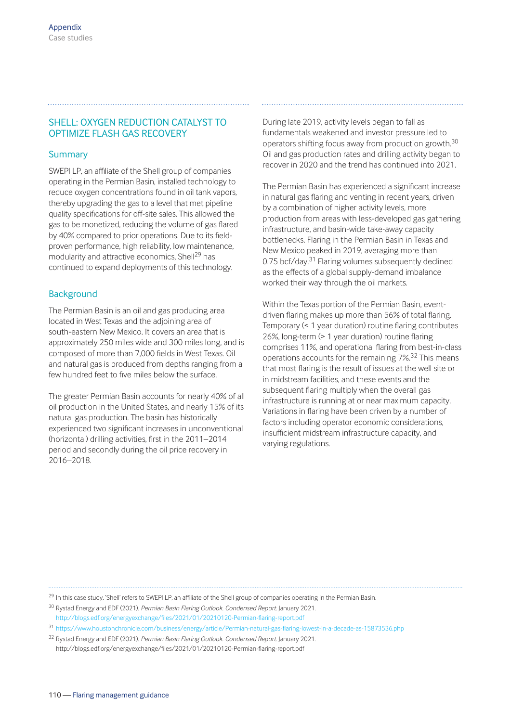## SHELL: OXYGEN REDUCTION CATALYST TO OPTIMIZE FLASH GAS RECOVERY

#### Summary

SWEPI LP, an affiliate of the Shell group of companies operating in the Permian Basin, installed technology to reduce oxygen concentrations found in oil tank vapors, thereby upgrading the gas to a level that met pipeline quality specifications for off-site sales. This allowed the gas to be monetized, reducing the volume of gas flared by 40% compared to prior operations. Due to its fieldproven performance, high reliability, low maintenance, modularity and attractive economics, Shell<sup>29</sup> has continued to expand deployments of this technology.

#### **Background**

The Permian Basin is an oil and gas producing area located in West Texas and the adjoining area of south-eastern New Mexico. It covers an area that is approximately 250 miles wide and 300 miles long, and is composed of more than 7,000 fields in West Texas. Oil and natural gas is produced from depths ranging from a few hundred feet to five miles below the surface.

The greater Permian Basin accounts for nearly 40% of all oil production in the United States, and nearly 15% of its natural gas production. The basin has historically experienced two significant increases in unconventional (horizontal) drilling activities, first in the 2011–2014 period and secondly during the oil price recovery in 2016–2018.

During late 2019, activity levels began to fall as fundamentals weakened and investor pressure led to operators shifting focus away from production growth.<sup>30</sup> Oil and gas production rates and drilling activity began to recover in 2020 and the trend has continued into 2021.

The Permian Basin has experienced a significant increase in natural gas flaring and venting in recent years, driven by a combination of higher activity levels, more production from areas with less-developed gas gathering infrastructure, and basin-wide take-away capacity bottlenecks. Flaring in the Permian Basin in Texas and New Mexico peaked in 2019, averaging more than 0.75 bcf/day.<sup>31</sup> Flaring volumes subsequently declined as the effects of a global supply-demand imbalance worked their way through the oil markets.

Within the Texas portion of the Permian Basin, eventdriven flaring makes up more than 56% of total flaring. Temporary (< 1 year duration) routine flaring contributes 26%, long-term (> 1 year duration) routine flaring comprises 11%, and operational flaring from best-in-class operations accounts for the remaining 7%.32 This means that most flaring is the result of issues at the well site or in midstream facilities, and these events and the subsequent flaring multiply when the overall gas infrastructure is running at or near maximum capacity. Variations in flaring have been driven by a number of factors including operator economic considerations, insufficient midstream infrastructure capacity, and varying regulations.

<sup>29</sup> In this case study, 'Shell' refers to SWEPI LP, an affiliate of the Shell group of companies operating in the Permian Basin.

<sup>30</sup> Rystad Energy and EDF (2021). *Permian Basin Flaring Outlook. Condensed Report.* January 2021. http://blogs.edf.org/energyexchange/files/2021/01/20210120-Permian-flaring-report.pdf

<sup>32</sup> Rystad Energy and EDF (2021). *Permian Basin Flaring Outlook. Condensed Report.* January 2021. http://blogs.edf.org/energyexchange/files/2021/01/20210120-Permian-flaring-report.pdf

<sup>31</sup> https://www.houstonchronicle.com/business/energy/article/Permian-natural-gas-flaring-lowest-in-a-decade-as-15873536.php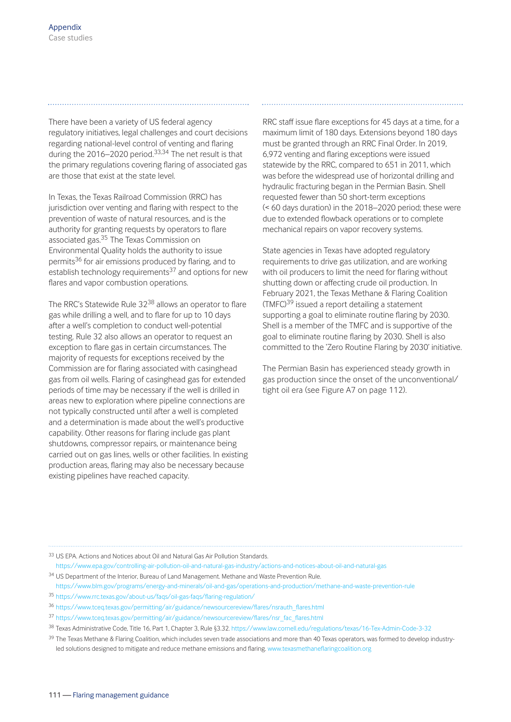There have been a variety of US federal agency regulatory initiatives, legal challenges and court decisions regarding national-level control of venting and flaring during the 2016–2020 period.<sup>33,34</sup> The net result is that the primary regulations covering flaring of associated gas are those that exist at the state level.

In Texas, the Texas Railroad Commission (RRC) has jurisdiction over venting and flaring with respect to the prevention of waste of natural resources, and is the authority for granting requests by operators to flare associated gas.35 The Texas Commission on Environmental Quality holds the authority to issue permits<sup>36</sup> for air emissions produced by flaring, and to establish technology requirements $37$  and options for new flares and vapor combustion operations.

The RRC's Statewide Rule 32<sup>38</sup> allows an operator to flare gas while drilling a well, and to flare for up to 10 days after a well's completion to conduct well-potential testing. Rule 32 also allows an operator to request an exception to flare gas in certain circumstances. The majority of requests for exceptions received by the Commission are for flaring associated with casinghead gas from oil wells. Flaring of casinghead gas for extended periods of time may be necessary if the well is drilled in areas new to exploration where pipeline connections are not typically constructed until after a well is completed and a determination is made about the well's productive capability. Other reasons for flaring include gas plant shutdowns, compressor repairs, or maintenance being carried out on gas lines, wells or other facilities. In existing production areas, flaring may also be necessary because existing pipelines have reached capacity.

RRC staff issue flare exceptions for 45 days at a time, for a maximum limit of 180 days. Extensions beyond 180 days must be granted through an RRC Final Order. In 2019, 6,972 venting and flaring exceptions were issued statewide by the RRC, compared to 651 in 2011, which was before the widespread use of horizontal drilling and hydraulic fracturing began in the Permian Basin. Shell requested fewer than 50 short-term exceptions (< 60 days duration) in the 2018–2020 period; these were due to extended flowback operations or to complete mechanical repairs on vapor recovery systems.

State agencies in Texas have adopted regulatory requirements to drive gas utilization, and are working with oil producers to limit the need for flaring without shutting down or affecting crude oil production. In February 2021, the Texas Methane & Flaring Coalition (TMFC)39 issued a report detailing a statement supporting a goal to eliminate routine flaring by 2030. Shell is a member of the TMFC and is supportive of the goal to eliminate routine flaring by 2030. Shell is also committed to the 'Zero Routine Flaring by 2030' initiative.

The Permian Basin has experienced steady growth in gas production since the onset of the unconventional/ tight oil era (see Figure A7 on page 112).

- <sup>33</sup> US EPA. Actions and Notices about Oil and Natural Gas Air Pollution Standards.
- https://www.epa.gov/controlling-air-pollution-oil-and-natural-gas-industry/actions-and-notices-about-oil-and-natural-gas
- <sup>34</sup> US Department of the Interior, Bureau of Land Management. Methane and Waste Prevention Rule.
- https://www.blm.gov/programs/energy-and-minerals/oil-and-gas/operations-and-production/methane-and-waste-prevention-rule
- <sup>35</sup> https://www.rrc.texas.gov/about-us/faqs/oil-gas-faqs/flaring-regulation/
- <sup>36</sup> https://www.tceq.texas.gov/permitting/air/guidance/newsourcereview/flares/nsrauth\_flares.html
- <sup>37</sup> https://www.tceq.texas.gov/permitting/air/guidance/newsourcereview/flares/nsr\_fac\_flares.html
- <sup>38</sup> Texas Administrative Code, Title 16, Part 1, Chapter 3, Rule §3.32. https://www.law.cornell.edu/regulations/texas/16-Tex-Admin-Code-3-32
- <sup>39</sup> The Texas Methane & Flaring Coalition, which includes seven trade associations and more than 40 Texas operators, was formed to develop industryled solutions designed to mitigate and reduce methane emissions and flaring. www.texasmethaneflaringcoalition.org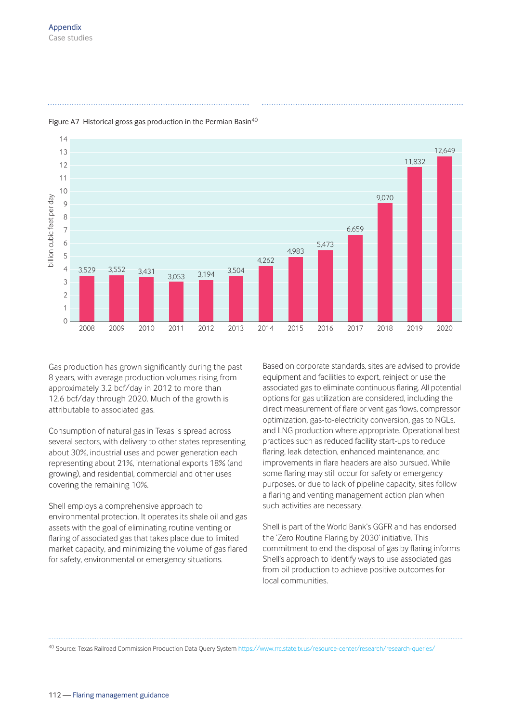

## Figure A7 Historical gross gas production in the Permian Basin<sup>40</sup>

Gas production has grown significantly during the past 8 years, with average production volumes rising from approximately 3.2 bcf/day in 2012 to more than 12.6 bcf/day through 2020. Much of the growth is attributable to associated gas.

Consumption of natural gas in Texas is spread across several sectors, with delivery to other states representing about 30%, industrial uses and power generation each representing about 21%, international exports 18% (and growing), and residential, commercial and other uses covering the remaining 10%.

Shell employs a comprehensive approach to environmental protection. It operates its shale oil and gas assets with the goal of eliminating routine venting or flaring of associated gas that takes place due to limited market capacity, and minimizing the volume of gas flared for safety, environmental or emergency situations.

Based on corporate standards, sites are advised to provide equipment and facilities to export, reinject or use the associated gas to eliminate continuous flaring. All potential options for gas utilization are considered, including the direct measurement of flare or vent gas flows, compressor optimization, gas-to-electricity conversion, gas to NGLs, and LNG production where appropriate. Operational best practices such as reduced facility start-ups to reduce flaring, leak detection, enhanced maintenance, and improvements in flare headers are also pursued. While some flaring may still occur for safety or emergency purposes, or due to lack of pipeline capacity, sites follow a flaring and venting management action plan when such activities are necessary.

Shell is part of the World Bank's GGFR and has endorsed the 'Zero Routine Flaring by 2030' initiative. This commitment to end the disposal of gas by flaring informs Shell's approach to identify ways to use associated gas from oil production to achieve positive outcomes for local communities.

<sup>40</sup> Source: Texas Railroad Commission Production Data Query System https://www.rrc.state.tx.us/resource-center/research/research-queries/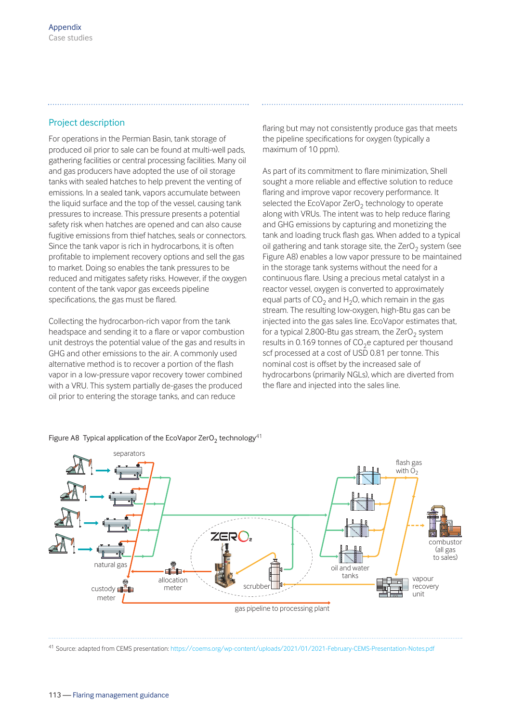# Project description

For operations in the Permian Basin, tank storage of produced oil prior to sale can be found at multi-well pads, gathering facilities or central processing facilities. Many oil and gas producers have adopted the use of oil storage tanks with sealed hatches to help prevent the venting of emissions. In a sealed tank, vapors accumulate between the liquid surface and the top of the vessel, causing tank pressures to increase. This pressure presents a potential safety risk when hatches are opened and can also cause fugitive emissions from thief hatches, seals or connectors. Since the tank vapor is rich in hydrocarbons, it is often profitable to implement recovery options and sell the gas to market. Doing so enables the tank pressures to be reduced and mitigates safety risks. However, if the oxygen content of the tank vapor gas exceeds pipeline specifications, the gas must be flared.

Collecting the hydrocarbon-rich vapor from the tank headspace and sending it to a flare or vapor combustion unit destroys the potential value of the gas and results in GHG and other emissions to the air. A commonly used alternative method is to recover a portion of the flash vapor in a low-pressure vapor recovery tower combined with a VRU. This system partially de-gases the produced oil prior to entering the storage tanks, and can reduce

flaring but may not consistently produce gas that meets the pipeline specifications for oxygen (typically a maximum of 10 ppm).

As part of its commitment to flare minimization, Shell sought a more reliable and effective solution to reduce flaring and improve vapor recovery performance. It selected the EcoVapor ZerO<sub>2</sub> technology to operate along with VRUs. The intent was to help reduce flaring and GHG emissions by capturing and monetizing the tank and loading truck flash gas. When added to a typical oil gathering and tank storage site, the ZerO<sub>2</sub> system (see Figure A8) enables a low vapor pressure to be maintained in the storage tank systems without the need for a continuous flare. Using a precious metal catalyst in a reactor vessel, oxygen is converted to approximately equal parts of  $CO<sub>2</sub>$  and H<sub>2</sub>O, which remain in the gas stream. The resulting low-oxygen, high-Btu gas can be injected into the gas sales line. EcoVapor estimates that, for a typical 2,800-Btu gas stream, the ZerO<sub>2</sub> system results in 0.169 tonnes of  $CO<sub>2</sub>e$  captured per thousand scf processed at a cost of USD 0.81 per tonne. This nominal cost is offset by the increased sale of hydrocarbons (primarily NGLs), which are diverted from the flare and injected into the sales line.



Figure A8 Typical application of the EcoVapor ZerO<sub>2</sub> technology<sup>41</sup>

<sup>41</sup> Source: adapted from CEMS presentation: https://coems.org/wp-content/uploads/2021/01/2021-February-CEMS-Presentation-Notes.pdf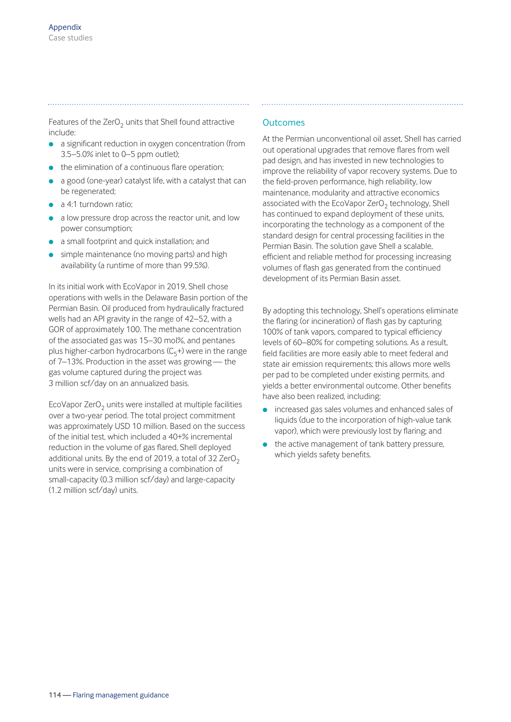Features of the ZerO<sub>2</sub> units that Shell found attractive include:

- **a** a significant reduction in oxygen concentration (from 3.5–5.0% inlet to 0–5 ppm outlet);
- $\bullet$  the elimination of a continuous flare operation;
- a good (one-year) catalyst life, with a catalyst that can be regenerated;
- $\bullet$  a 4:1 turndown ratio:
- a low pressure drop across the reactor unit, and low power consumption;
- **a** a small footprint and quick installation; and
- simple maintenance (no moving parts) and high availability (a runtime of more than 99.5%).

In its initial work with EcoVapor in 2019, Shell chose operations with wells in the Delaware Basin portion of the Permian Basin. Oil produced from hydraulically fractured wells had an API gravity in the range of 42–52, with a GOR of approximately 100. The methane concentration of the associated gas was 15–30 mol%, and pentanes plus higher-carbon hydrocarbons  $(C_5+)$  were in the range of 7–13%. Production in the asset was growing — the gas volume captured during the project was 3 million scf/day on an annualized basis.

EcoVapor ZerO<sub>2</sub> units were installed at multiple facilities over a two-year period. The total project commitment was approximately USD 10 million. Based on the success of the initial test, which included a 40+% incremental reduction in the volume of gas flared, Shell deployed additional units. By the end of 2019, a total of 32 ZerO<sub>2</sub> units were in service, comprising a combination of small-capacity (0.3 million scf/day) and large-capacity (1.2 million scf/day) units.

# **Outcomes**

At the Permian unconventional oil asset, Shell has carried out operational upgrades that remove flares from well pad design, and has invested in new technologies to improve the reliability of vapor recovery systems. Due to the field-proven performance, high reliability, low maintenance, modularity and attractive economics associated with the EcoVapor ZerO<sub>2</sub> technology, Shell has continued to expand deployment of these units, incorporating the technology as a component of the standard design for central processing facilities in the Permian Basin. The solution gave Shell a scalable, efficient and reliable method for processing increasing volumes of flash gas generated from the continued development of its Permian Basin asset.

By adopting this technology, Shell's operations eliminate the flaring (or incineration) of flash gas by capturing 100% of tank vapors, compared to typical efficiency levels of 60–80% for competing solutions. As a result, field facilities are more easily able to meet federal and state air emission requirements; this allows more wells per pad to be completed under existing permits, and yields a better environmental outcome. Other benefits have also been realized, including:

- **.** increased gas sales volumes and enhanced sales of liquids (due to the incorporation of high-value tank vapor), which were previously lost by flaring; and
- $\bullet$  the active management of tank battery pressure, which yields safety benefits.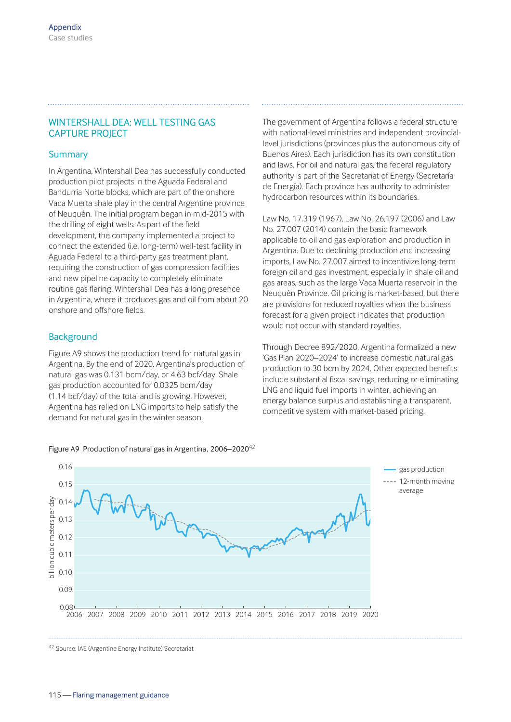# WINTERSHALL DEA: WELL TESTING GAS CAPTURE PROJECT

#### Summary

In Argentina, Wintershall Dea has successfully conducted production pilot projects in the Aguada Federal and Bandurria Norte blocks, which are part of the onshore Vaca Muerta shale play in the central Argentine province of Neuquén. The initial program began in mid-2015 with the drilling of eight wells. As part of the field development, the company implemented a project to connect the extended (i.e. long-term) well-test facility in Aguada Federal to a third-party gas treatment plant, requiring the construction of gas compression facilities and new pipeline capacity to completely eliminate routine gas flaring. Wintershall Dea has a long presence in Argentina, where it produces gas and oil from about 20 onshore and offshore fields.

#### **Background**

Figure A9 shows the production trend for natural gas in Argentina. By the end of 2020, Argentina's production of natural gas was 0.131 bcm/day, or 4.63 bcf/day. Shale gas production accounted for 0.0325 bcm/day (1.14 bcf/day) of the total and is growing. However, Argentina has relied on LNG imports to help satisfy the demand for natural gas in the winter season.



The government of Argentina follows a federal structure with national-level ministries and independent provinciallevel jurisdictions (provinces plus the autonomous city of Buenos Aires). Each jurisdiction has its own constitution and laws. For oil and natural gas, the federal regulatory authority is part of the Secretariat of Energy (Secretaría de Energía). Each province has authority to administer hydrocarbon resources within its boundaries.

Law No. 17.319 (1967), Law No. 26,197 (2006) and Law No. 27.007 (2014) contain the basic framework applicable to oil and gas exploration and production in Argentina. Due to declining production and increasing imports, Law No. 27.007 aimed to incentivize long-term foreign oil and gas investment, especially in shale oil and gas areas, such as the large Vaca Muerta reservoir in the Neuquén Province. Oil pricing is market-based, but there are provisions for reduced royalties when the business forecast for a given project indicates that production would not occur with standard royalties.

Through Decree 892/2020, Argentina formalized a new 'Gas Plan 2020–2024' to increase domestic natural gas production to 30 bcm by 2024. Other expected benefits include substantial fiscal savings, reducing or eliminating LNG and liquid fuel imports in winter, achieving an energy balance surplus and establishing a transparent, competitive system with market-based pricing.



<sup>42</sup> Source: IAE (Argentine Energy Institute) Secretariat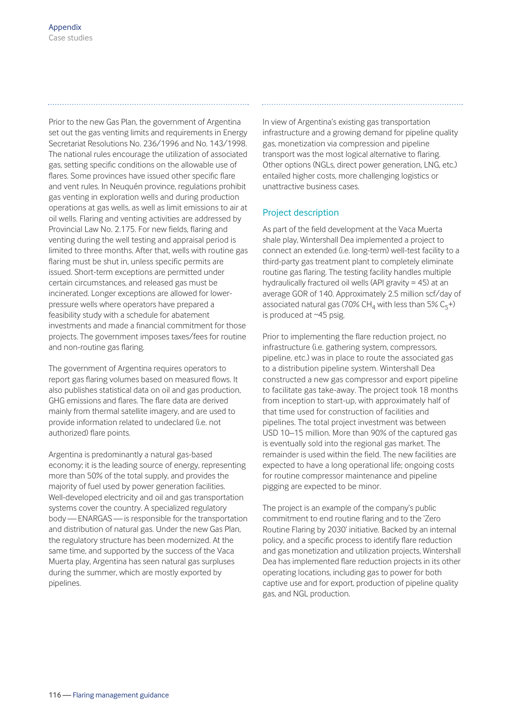Prior to the new Gas Plan, the government of Argentina set out the gas venting limits and requirements in Energy Secretariat Resolutions No. 236/1996 and No. 143/1998. The national rules encourage the utilization of associated gas, setting specific conditions on the allowable use of flares. Some provinces have issued other specific flare and vent rules. In Neuquén province, regulations prohibit gas venting in exploration wells and during production operations at gas wells, as well as limit emissions to air at oil wells. Flaring and venting activities are addressed by Provincial Law No. 2.175. For new fields, flaring and venting during the well testing and appraisal period is limited to three months. After that, wells with routine gas flaring must be shut in, unless specific permits are issued. Short-term exceptions are permitted under certain circumstances, and released gas must be incinerated. Longer exceptions are allowed for lowerpressure wells where operators have prepared a feasibility study with a schedule for abatement investments and made a financial commitment for those projects. The government imposes taxes/fees for routine and non-routine gas flaring.

The government of Argentina requires operators to report gas flaring volumes based on measured flows. It also publishes statistical data on oil and gas production, GHG emissions and flares. The flare data are derived mainly from thermal satellite imagery, and are used to provide information related to undeclared (i.e. not authorized) flare points.

Argentina is predominantly a natural gas-based economy; it is the leading source of energy, representing more than 50% of the total supply, and provides the majority of fuel used by power generation facilities. Well-developed electricity and oil and gas transportation systems cover the country. A specialized regulatory body — ENARGAS — is responsible for the transportation and distribution of natural gas. Under the new Gas Plan, the regulatory structure has been modernized. At the same time, and supported by the success of the Vaca Muerta play, Argentina has seen natural gas surpluses during the summer, which are mostly exported by pipelines.

In view of Argentina's existing gas transportation infrastructure and a growing demand for pipeline quality gas, monetization via compression and pipeline transport was the most logical alternative to flaring. Other options (NGLs, direct power generation, LNG, etc.) entailed higher costs, more challenging logistics or unattractive business cases.

# Project description

As part of the field development at the Vaca Muerta shale play, Wintershall Dea implemented a project to connect an extended (i.e. long-term) well-test facility to a third-party gas treatment plant to completely eliminate routine gas flaring. The testing facility handles multiple hydraulically fractured oil wells (API gravity = 45) at an average GOR of 140. Approximately 2.5 million scf/day of associated natural gas (70% CH<sub>4</sub> with less than 5% C<sub>5</sub>+) is produced at ~45 psig.

Prior to implementing the flare reduction project, no infrastructure (i.e. gathering system, compressors, pipeline, etc.) was in place to route the associated gas to a distribution pipeline system. Wintershall Dea constructed a new gas compressor and export pipeline to facilitate gas take-away. The project took 18 months from inception to start-up, with approximately half of that time used for construction of facilities and pipelines. The total project investment was between USD 10–15 million. More than 90% of the captured gas is eventually sold into the regional gas market. The remainder is used within the field. The new facilities are expected to have a long operational life; ongoing costs for routine compressor maintenance and pipeline pigging are expected to be minor.

The project is an example of the company's public commitment to end routine flaring and to the 'Zero Routine Flaring by 2030' initiative. Backed by an internal policy, and a specific process to identify flare reduction and gas monetization and utilization projects, Wintershall Dea has implemented flare reduction projects in its other operating locations, including gas to power for both captive use and for export, production of pipeline quality gas, and NGL production.